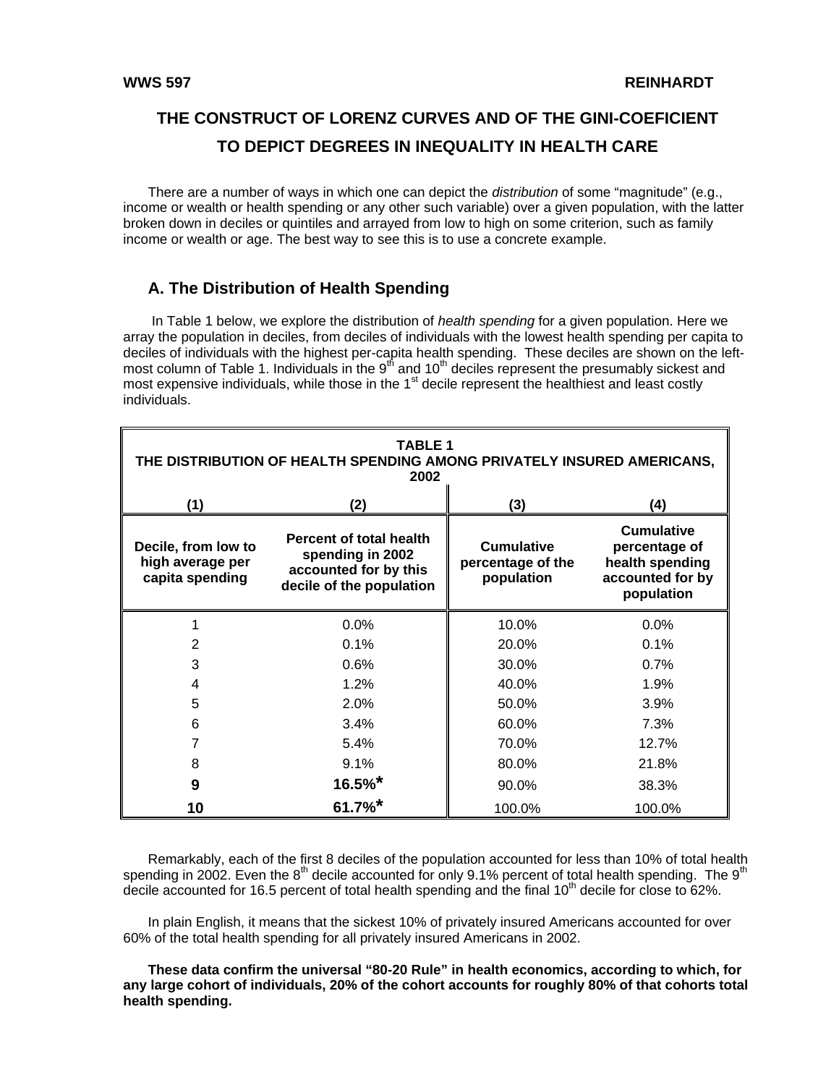# **THE CONSTRUCT OF LORENZ CURVES AND OF THE GINI-COEFICIENT TO DEPICT DEGREES IN INEQUALITY IN HEALTH CARE**

There are a number of ways in which one can depict the *distribution* of some "magnitude" (e.g., income or wealth or health spending or any other such variable) over a given population, with the latter broken down in deciles or quintiles and arrayed from low to high on some criterion, such as family income or wealth or age. The best way to see this is to use a concrete example.

## **A. The Distribution of Health Spending**

 In Table 1 below, we explore the distribution of *health spending* for a given population. Here we array the population in deciles, from deciles of individuals with the lowest health spending per capita to deciles of individuals with the highest per-capita health spending. These deciles are shown on the leftmost column of Table 1. Individuals in the  $9<sup>th</sup>$  and 10<sup>th</sup> deciles represent the presumably sickest and most expensive individuals, while those in the 1<sup>st</sup> decile represent the healthiest and least costly most expensive individuals, while those in the 1<sup>st</sup> decile represent the healthiest and least costly individuals.

| <b>TABLE 1</b><br>THE DISTRIBUTION OF HEALTH SPENDING AMONG PRIVATELY INSURED AMERICANS,<br>2002 |                                                                                                  |                                                      |                                                                                         |  |  |  |  |  |  |
|--------------------------------------------------------------------------------------------------|--------------------------------------------------------------------------------------------------|------------------------------------------------------|-----------------------------------------------------------------------------------------|--|--|--|--|--|--|
| (1)                                                                                              | (2)                                                                                              | (3)                                                  | (4)                                                                                     |  |  |  |  |  |  |
| Decile, from low to<br>high average per<br>capita spending                                       | Percent of total health<br>spending in 2002<br>accounted for by this<br>decile of the population | <b>Cumulative</b><br>percentage of the<br>population | <b>Cumulative</b><br>percentage of<br>health spending<br>accounted for by<br>population |  |  |  |  |  |  |
|                                                                                                  | 0.0%                                                                                             | 10.0%                                                | $0.0\%$                                                                                 |  |  |  |  |  |  |
| 2                                                                                                | 0.1%                                                                                             | 20.0%                                                | 0.1%                                                                                    |  |  |  |  |  |  |
| 3                                                                                                | 0.6%                                                                                             | 30.0%                                                | 0.7%                                                                                    |  |  |  |  |  |  |
| 4                                                                                                | 1.2%                                                                                             | 40.0%                                                | 1.9%                                                                                    |  |  |  |  |  |  |
| 5                                                                                                | 2.0%                                                                                             | 50.0%                                                | 3.9%                                                                                    |  |  |  |  |  |  |
| 6                                                                                                | 3.4%                                                                                             | 60.0%                                                | 7.3%                                                                                    |  |  |  |  |  |  |
| 7                                                                                                | 5.4%                                                                                             | 70.0%                                                | 12.7%                                                                                   |  |  |  |  |  |  |
| 8                                                                                                | 9.1%                                                                                             | 80.0%                                                | 21.8%                                                                                   |  |  |  |  |  |  |
| 9                                                                                                | $16.5%$ *                                                                                        | 90.0%                                                | 38.3%                                                                                   |  |  |  |  |  |  |
| 10                                                                                               | $61.7\%$ *                                                                                       | 100.0%                                               | 100.0%                                                                                  |  |  |  |  |  |  |

Remarkably, each of the first 8 deciles of the population accounted for less than 10% of total health spending in 2002. Even the 8<sup>th</sup> decile accounted for only 9.1% percent of total health spending. The 9<sup>th</sup> decile accounted for 16.5 percent of total health spending and the final 10<sup>th</sup> decile for close to 62%.

In plain English, it means that the sickest 10% of privately insured Americans accounted for over 60% of the total health spending for all privately insured Americans in 2002.

**These data confirm the universal "80-20 Rule" in health economics, according to which, for any large cohort of individuals, 20% of the cohort accounts for roughly 80% of that cohorts total health spending.**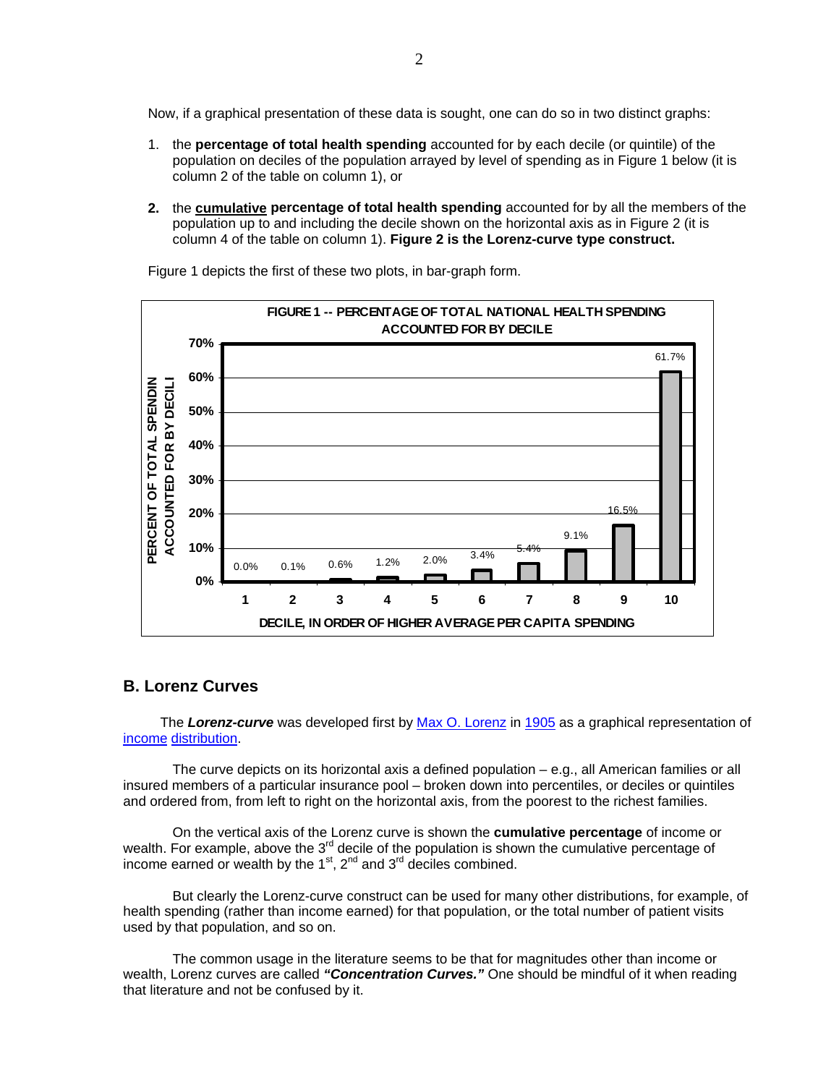Now, if a graphical presentation of these data is sought, one can do so in two distinct graphs:

- 1. the **percentage of total health spending** accounted for by each decile (or quintile) of the population on deciles of the population arrayed by level of spending as in Figure 1 below (it is column 2 of the table on column 1), or
- **2.** the **cumulative percentage of total health spending** accounted for by all the members of the population up to and including the decile shown on the horizontal axis as in Figure 2 (it is column 4 of the table on column 1). **Figure 2 is the Lorenz-curve type construct.**



Figure 1 depicts the first of these two plots, in bar-graph form.

## **B. Lorenz Curves**

The *Lorenz-curve* was developed first by [Max O. Lorenz](http://en.wikipedia.org/wiki/Max_O._Lorenz) in [1905](http://en.wikipedia.org/wiki/1905) as a graphical representation of [income](http://en.wikipedia.org/wiki/Income) [distribution](http://en.wikipedia.org/wiki/Distribution).

The curve depicts on its horizontal axis a defined population – e.g., all American families or all insured members of a particular insurance pool – broken down into percentiles, or deciles or quintiles and ordered from, from left to right on the horizontal axis, from the poorest to the richest families.

On the vertical axis of the Lorenz curve is shown the **cumulative percentage** of income or wealth. For example, above the  $3<sup>rd</sup>$  decile of the population is shown the cumulative percentage of income earned or wealth by the  $1<sup>st</sup>$ ,  $2<sup>nd</sup>$  and  $3<sup>rd</sup>$  deciles combined.

But clearly the Lorenz-curve construct can be used for many other distributions, for example, of health spending (rather than income earned) for that population, or the total number of patient visits used by that population, and so on.

The common usage in the literature seems to be that for magnitudes other than income or wealth, Lorenz curves are called *"Concentration Curves."* One should be mindful of it when reading that literature and not be confused by it.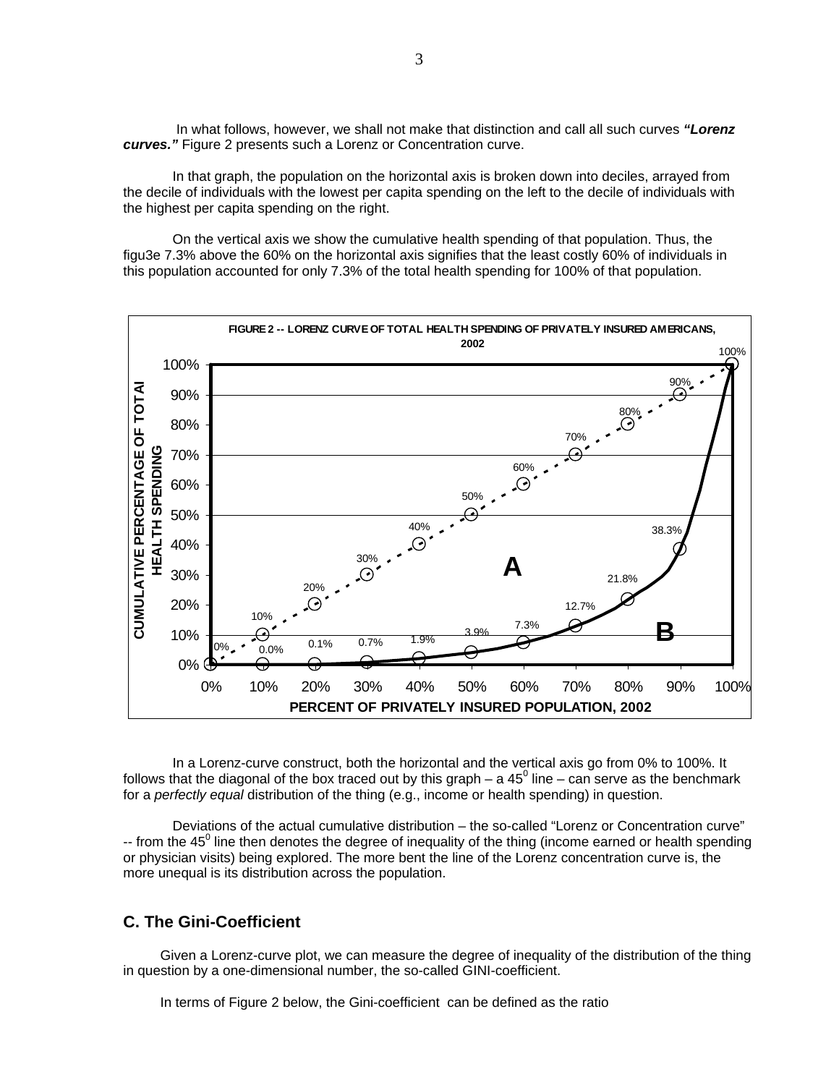In what follows, however, we shall not make that distinction and call all such curves *"Lorenz curves."* Figure 2 presents such a Lorenz or Concentration curve.

In that graph, the population on the horizontal axis is broken down into deciles, arrayed from the decile of individuals with the lowest per capita spending on the left to the decile of individuals with the highest per capita spending on the right.

On the vertical axis we show the cumulative health spending of that population. Thus, the figu3e 7.3% above the 60% on the horizontal axis signifies that the least costly 60% of individuals in this population accounted for only 7.3% of the total health spending for 100% of that population.



In a Lorenz-curve construct, both the horizontal and the vertical axis go from 0% to 100%. It follows that the diagonal of the box traced out by this graph – a 45<sup>0</sup> line – can serve as the benchmark for a *perfectly equal* distribution of the thing (e.g., income or health spending) in question.

Deviations of the actual cumulative distribution – the so-called "Lorenz or Concentration curve" -- from the 45<sup>0</sup> line then denotes the degree of inequality of the thing (income earned or health spending or physician visits) being explored. The more bent the line of the Lorenz concentration curve is, the more unequal is its distribution across the population.

## **C. The Gini-Coefficient**

Given a Lorenz-curve plot, we can measure the degree of inequality of the distribution of the thing in question by a one-dimensional number, the so-called GINI-coefficient.

In terms of Figure 2 below, the Gini-coefficient can be defined as the ratio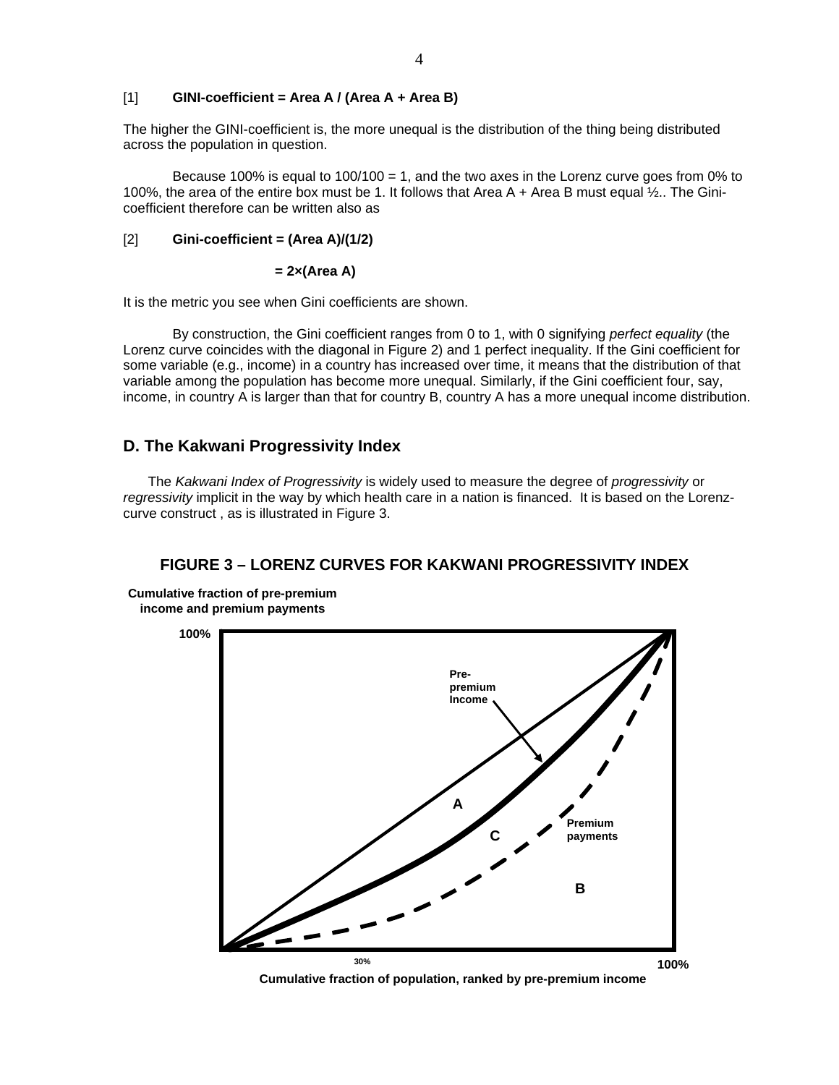#### [1] **GINI-coefficient = Area A / (Area A + Area B)**

The higher the GINI-coefficient is, the more unequal is the distribution of the thing being distributed across the population in question.

Because 100% is equal to 100/100 = 1, and the two axes in the Lorenz curve goes from 0% to 100%, the area of the entire box must be 1. It follows that Area A + Area B must equal ½.. The Ginicoefficient therefore can be written also as

#### [2] **Gini-coefficient = (Area A)/(1/2)**

 **= 2×(Area A)** 

It is the metric you see when Gini coefficients are shown.

By construction, the Gini coefficient ranges from 0 to 1, with 0 signifying *perfect equality* (the Lorenz curve coincides with the diagonal in Figure 2) and 1 perfect inequality. If the Gini coefficient for some variable (e.g., income) in a country has increased over time, it means that the distribution of that variable among the population has become more unequal. Similarly, if the Gini coefficient four, say, income, in country A is larger than that for country B, country A has a more unequal income distribution.

## **D. The Kakwani Progressivity Index**

The *Kakwani Index of Progressivity* is widely used to measure the degree of *progressivity* or *regressivity* implicit in the way by which health care in a nation is financed. It is based on the Lorenzcurve construct , as is illustrated in Figure 3.

### **FIGURE 3 – LORENZ CURVES FOR KAKWANI PROGRESSIVITY INDEX**

**Cumulative fraction of pre-premium income and premium payments**



**Cumulative fraction of population, ranked by pre-premium income**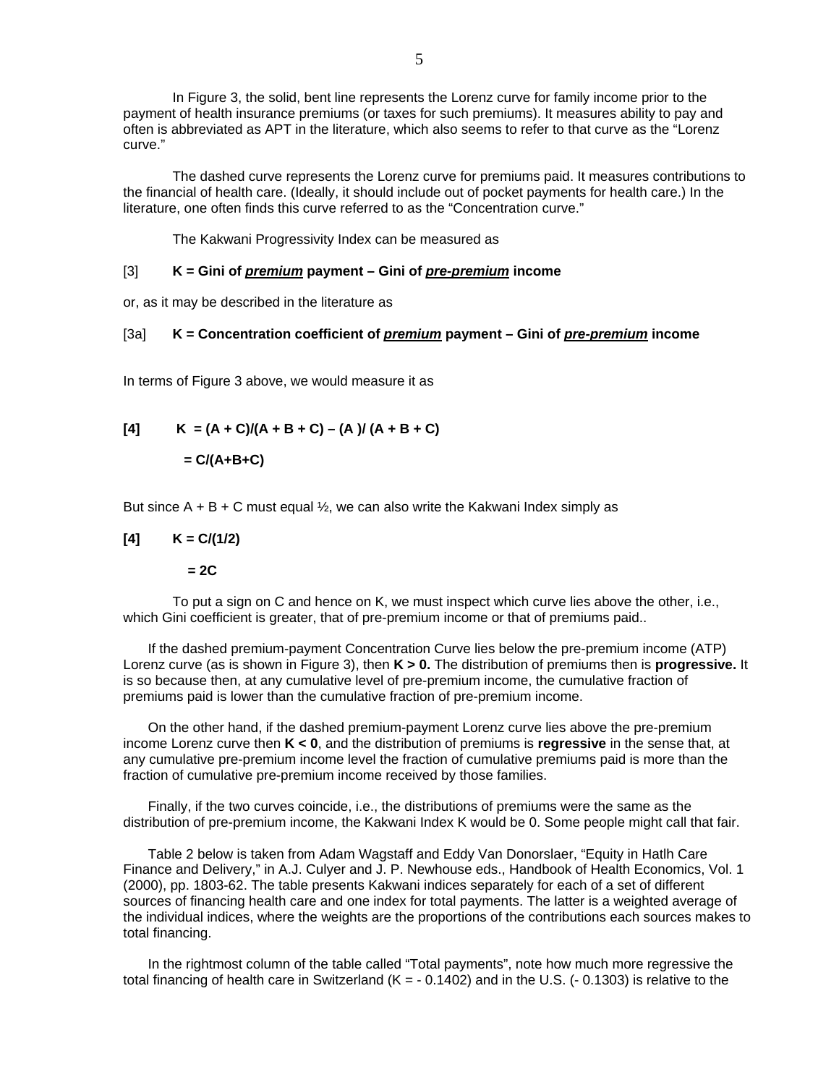In Figure 3, the solid, bent line represents the Lorenz curve for family income prior to the payment of health insurance premiums (or taxes for such premiums). It measures ability to pay and often is abbreviated as APT in the literature, which also seems to refer to that curve as the "Lorenz curve."

 The dashed curve represents the Lorenz curve for premiums paid. It measures contributions to the financial of health care. (Ideally, it should include out of pocket payments for health care.) In the literature, one often finds this curve referred to as the "Concentration curve."

The Kakwani Progressivity Index can be measured as

#### [3] **K = Gini of** *premium* **payment – Gini of** *pre-premium* **income**

or, as it may be described in the literature as

#### [3a] **K = Concentration coefficient of** *premium* **payment – Gini of** *pre-premium* **income**

In terms of Figure 3 above, we would measure it as

$$
[4] \qquad K = (A + C)/(A + B + C) - (A)/(A + B + C)
$$

$$
= C/(A+B+C)
$$

But since  $A + B + C$  must equal  $\frac{1}{2}$ , we can also write the Kakwani Index simply as

#### $K = C/(1/2)$

 **= 2C** 

 To put a sign on C and hence on K, we must inspect which curve lies above the other, i.e., which Gini coefficient is greater, that of pre-premium income or that of premiums paid..

If the dashed premium-payment Concentration Curve lies below the pre-premium income (ATP) Lorenz curve (as is shown in Figure 3), then **K > 0.** The distribution of premiums then is **progressive.** It is so because then, at any cumulative level of pre-premium income, the cumulative fraction of premiums paid is lower than the cumulative fraction of pre-premium income.

On the other hand, if the dashed premium-payment Lorenz curve lies above the pre-premium income Lorenz curve then **K < 0**, and the distribution of premiums is **regressive** in the sense that, at any cumulative pre-premium income level the fraction of cumulative premiums paid is more than the fraction of cumulative pre-premium income received by those families.

Finally, if the two curves coincide, i.e., the distributions of premiums were the same as the distribution of pre-premium income, the Kakwani Index K would be 0. Some people might call that fair.

Table 2 below is taken from Adam Wagstaff and Eddy Van Donorslaer, "Equity in Hatlh Care Finance and Delivery," in A.J. Culyer and J. P. Newhouse eds., Handbook of Health Economics, Vol. 1 (2000), pp. 1803-62. The table presents Kakwani indices separately for each of a set of different sources of financing health care and one index for total payments. The latter is a weighted average of the individual indices, where the weights are the proportions of the contributions each sources makes to total financing.

In the rightmost column of the table called "Total payments", note how much more regressive the total financing of health care in Switzerland  $(K = -0.1402)$  and in the U.S.  $(-0.1303)$  is relative to the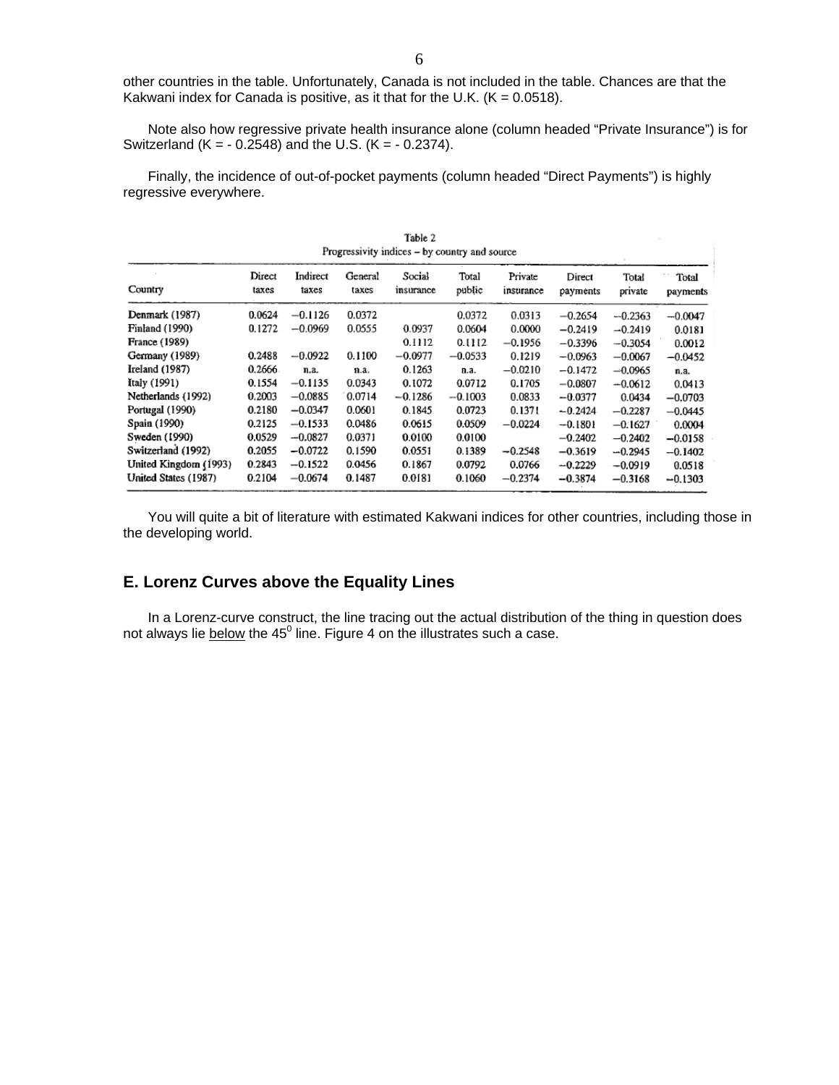other countries in the table. Unfortunately, Canada is not included in the table. Chances are that the Kakwani index for Canada is positive, as it that for the U.K.  $(K = 0.0518)$ .

Note also how regressive private health insurance alone (column headed "Private Insurance") is for Switzerland (K =  $- 0.2548$ ) and the U.S. (K =  $- 0.2374$ ).

Finally, the incidence of out-of-pocket payments (column headed "Direct Payments") is highly regressive everywhere.

| Table 2<br>Progressivity indices – by country and source |                 |                   |                  |                     |                 |                      |                    |                  |                   |  |  |
|----------------------------------------------------------|-----------------|-------------------|------------------|---------------------|-----------------|----------------------|--------------------|------------------|-------------------|--|--|
| Country                                                  | Direct<br>taxes | Indirect<br>taxes | General<br>taxes | Social<br>insurance | Total<br>public | Private<br>insurance | Direct<br>payments | Total<br>private | Total<br>payments |  |  |
| Denmark (1987)                                           | 0.0624          | $-0.1126$         | 0.0372           |                     | 0.0372          | 0.0313               | $-0.2654$          | $-0.2363$        | $-0.0047$         |  |  |
| Finland (1990)                                           | 0.1272          | $-0.0969$         | 0.0555           | 0.0937              | 0.0604          | 0.0000               | $-0.2419$          | $-0.2419$        | 0.0181            |  |  |
| <b>France (1989)</b>                                     |                 |                   |                  | 0.1112              | 0.1112          | $-0.1956$            | $-0.3396$          | $-0.3054$        | 0.0012            |  |  |
| Germany (1989)                                           | 0.2488          | $-0.0922$         | 0.1100           | $-0.0977$           | $-0.0533$       | 0.1219               | $-0.0963$          | $-0.0067$        | $-0.0452$         |  |  |
| Ireland (1987)                                           | 0.2666          | n.a.              | n.a.             | 0.1263              | n.a.            | $-0.0210$            | $-0.1472$          | $-0.0965$        | n.a.              |  |  |
| Italy (1991)                                             | 0.1554          | $-0.1135$         | 0.0343           | 0.1072              | 0.0712          | 0.1705               | $-0.0807$          | $-0.0612$        | 0.0413            |  |  |
| Netherlands (1992)                                       | 0.2003          | $-0.0885$         | 0.0714           | $-0.1286$           | $-0.1003$       | 0.0833               | $-0.0377$          | 0.0434           | $-0.0703$         |  |  |
| Portugal (1990)                                          | 0.2180          | $-0.0347$         | 0.0601           | 0.1845              | 0.0723          | 0.1371               | $-0.2424$          | $-0.2287$        | $-0.0445$         |  |  |
| Spain (1990)                                             | 0.2125          | $-0.1533$         | 0.0486           | 0.0615              | 0.0509          | $-0.0224$            | $-0.1801$          | $-0.1627$        | 0.0004            |  |  |
| Sweden (1990)                                            | 0.0529          | $-0.0827$         | 0.0371           | 0.0100              | 0.0100          |                      | $-0.2402$          | $-0.2402$        | $-0.0158$         |  |  |
| Switzerland (1992)                                       | 0.2055          | $-0.0722$         | 0.1590           | 0.0551              | 0.1389          | $-0.2548$            | $-0.3619$          | $-0.2945$        | $-0.1402$         |  |  |
| United Kingdom (1993)                                    | 0.2843          | $-0.1522$         | 0.0456           | 0.1867              | 0.0792          | 0.0766               | $-0.2229$          | $-0.0919$        | 0.0518            |  |  |
| United States (1987)                                     | 0.2104          | $-0.0674$         | 0.1487           | 0.0181              | 0.1060          | $-0.2374$            | $-0.3874$          | $-0.3168$        | $-0.1303$         |  |  |

You will quite a bit of literature with estimated Kakwani indices for other countries, including those in the developing world.

## **E. Lorenz Curves above the Equality Lines**

In a Lorenz-curve construct, the line tracing out the actual distribution of the thing in question does not always lie **below** the 45 $^0$  line. Figure 4 on the illustrates such a case.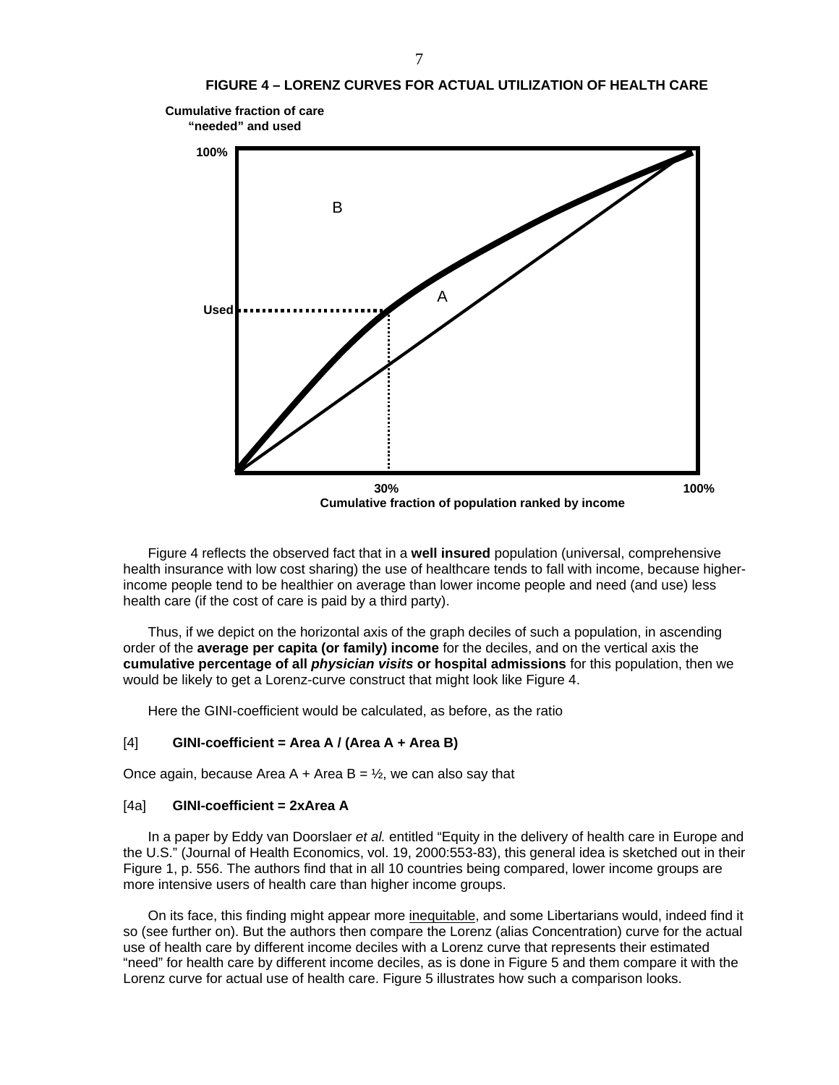

Figure 4 reflects the observed fact that in a **well insured** population (universal, comprehensive health insurance with low cost sharing) the use of healthcare tends to fall with income, because higherincome people tend to be healthier on average than lower income people and need (and use) less health care (if the cost of care is paid by a third party).

Thus, if we depict on the horizontal axis of the graph deciles of such a population, in ascending order of the **average per capita (or family) income** for the deciles, and on the vertical axis the **cumulative percentage of all** *physician visits* **or hospital admissions** for this population, then we would be likely to get a Lorenz-curve construct that might look like Figure 4.

Here the GINI-coefficient would be calculated, as before, as the ratio

#### [4] **GINI-coefficient = Area A / (Area A + Area B)**

Once again, because Area A + Area B =  $\frac{1}{2}$ , we can also say that

#### [4a] **GINI-coefficient = 2xArea A**

In a paper by Eddy van Doorslaer *et al.* entitled "Equity in the delivery of health care in Europe and the U.S." (Journal of Health Economics, vol. 19, 2000:553-83), this general idea is sketched out in their Figure 1, p. 556. The authors find that in all 10 countries being compared, lower income groups are more intensive users of health care than higher income groups.

On its face, this finding might appear more inequitable, and some Libertarians would, indeed find it so (see further on). But the authors then compare the Lorenz (alias Concentration) curve for the actual use of health care by different income deciles with a Lorenz curve that represents their estimated "need" for health care by different income deciles, as is done in Figure 5 and them compare it with the Lorenz curve for actual use of health care. Figure 5 illustrates how such a comparison looks.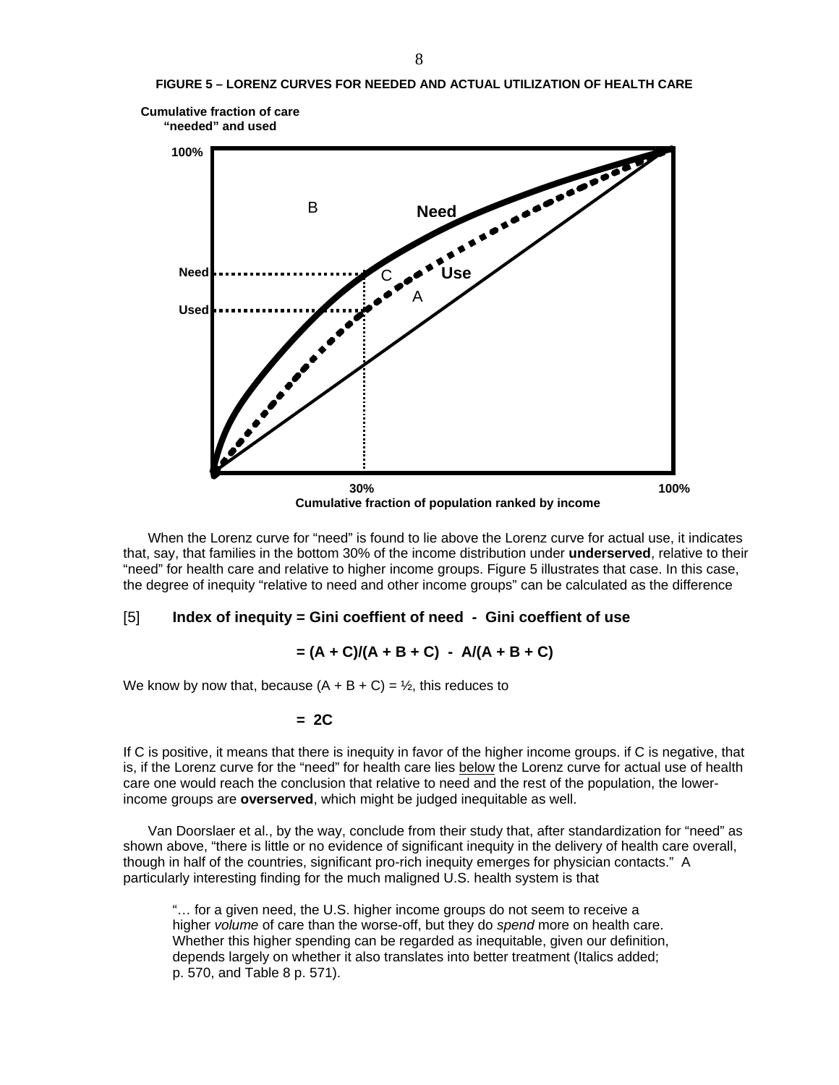

When the Lorenz curve for "need" is found to lie above the Lorenz curve for actual use, it indicates that, say, that families in the bottom 30% of the income distribution under **underserved**, relative to their "need" for health care and relative to higher income groups. Figure 5 illustrates that case. In this case, the degree of inequity "relative to need and other income groups" can be calculated as the difference

#### [5] **Index of inequity = Gini coeffient of need - Gini coeffient of use**

$$
= (A + C)/(A + B + C) - A/(A + B + C)
$$

We know by now that, because  $(A + B + C) = \frac{1}{2}$ , this reduces to

#### **= 2C**

If C is positive, it means that there is inequity in favor of the higher income groups. if C is negative, that is, if the Lorenz curve for the "need" for health care lies below the Lorenz curve for actual use of health care one would reach the conclusion that relative to need and the rest of the population, the lowerincome groups are **overserved**, which might be judged inequitable as well.

Van Doorslaer et al., by the way, conclude from their study that, after standardization for "need" as shown above, "there is little or no evidence of significant inequity in the delivery of health care overall, though in half of the countries, significant pro-rich inequity emerges for physician contacts." A particularly interesting finding for the much maligned U.S. health system is that

"… for a given need, the U.S. higher income groups do not seem to receive a higher *volume* of care than the worse-off, but they do *spend* more on health care. Whether this higher spending can be regarded as inequitable, given our definition, depends largely on whether it also translates into better treatment (Italics added; p. 570, and Table 8 p. 571).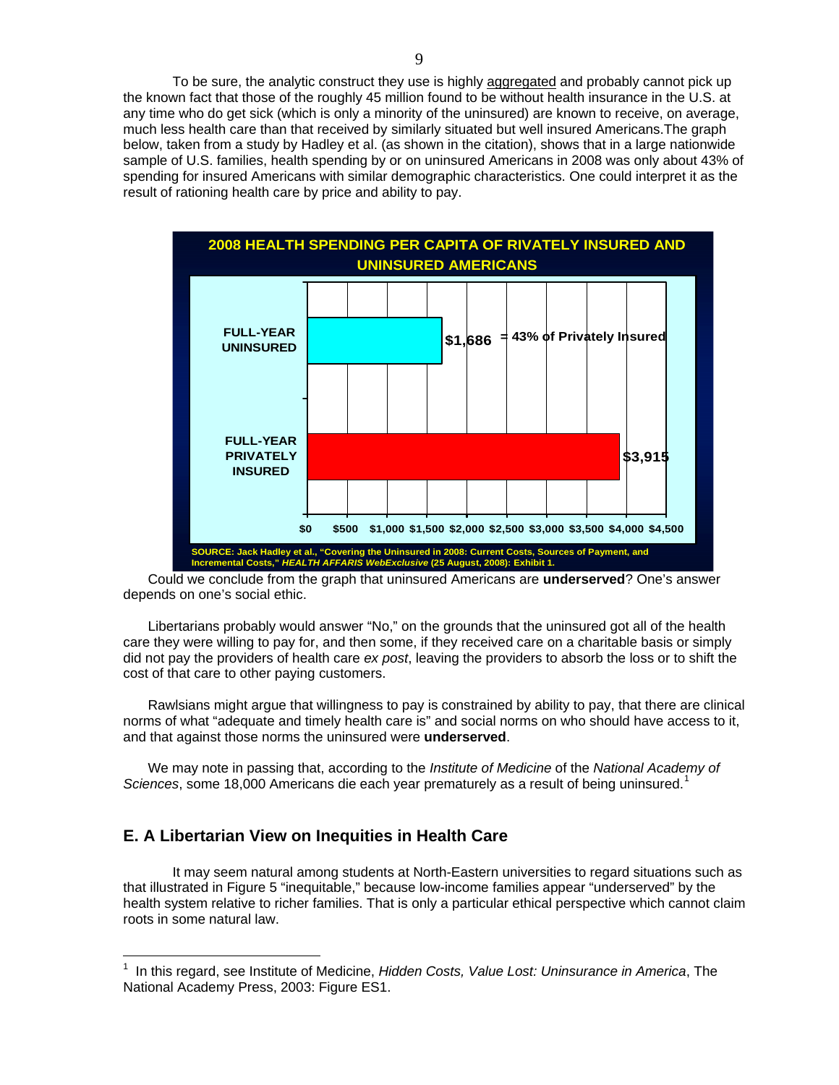To be sure, the analytic construct they use is highly aggregated and probably cannot pick up the known fact that those of the roughly 45 million found to be without health insurance in the U.S. at any time who do get sick (which is only a minority of the uninsured) are known to receive, on average, much less health care than that received by similarly situated but well insured Americans.The graph below, taken from a study by Hadley et al. (as shown in the citation), shows that in a large nationwide sample of U.S. families, health spending by or on uninsured Americans in 2008 was only about 43% of spending for insured Americans with similar demographic characteristics. One could interpret it as the result of rationing health care by price and ability to pay.



Could we conclude from the graph that uninsured Americans are **underserved**? One's answer depends on one's social ethic.

Libertarians probably would answer "No," on the grounds that the uninsured got all of the health care they were willing to pay for, and then some, if they received care on a charitable basis or simply did not pay the providers of health care *ex post*, leaving the providers to absorb the loss or to shift the cost of that care to other paying customers.

Rawlsians might argue that willingness to pay is constrained by ability to pay, that there are clinical norms of what "adequate and timely health care is" and social norms on who should have access to it, and that against those norms the uninsured were **underserved**.

We may note in passing that, according to the *Institute of Medicine* of the *National Academy of*  Sciences, some [1](#page-8-0)8,000 Americans die each year prematurely as a result of being uninsured.<sup>1</sup>

## **E. A Libertarian View on Inequities in Health Care**

 $\overline{a}$ 

It may seem natural among students at North-Eastern universities to regard situations such as that illustrated in Figure 5 "inequitable," because low-income families appear "underserved" by the health system relative to richer families. That is only a particular ethical perspective which cannot claim roots in some natural law.

<span id="page-8-0"></span><sup>&</sup>lt;sup>1</sup> In this regard, see Institute of Medicine, *Hidden Costs, Value Lost: Uninsurance in America*, The National Academy Press, 2003: Figure ES1.